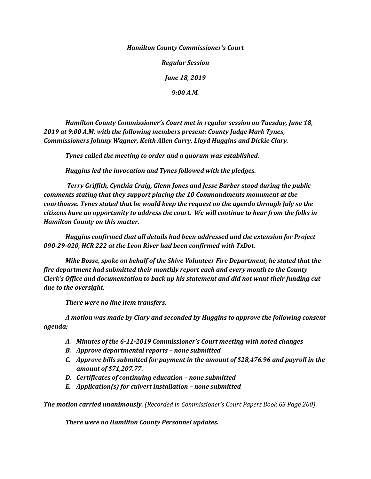*Hamilton County Commissioner's Court*

*Regular Session*

*June 18, 2019*

*9:00 A.M.*

*Hamilton County Commissioner's Court met in regular session on Tuesday, June 18, 2019 at 9:00 A.M. with the following members present: County Judge Mark Tynes, Commissioners Johnny Wagner, Keith Allen Curry, Lloyd Huggins and Dickie Clary.*

*Tynes called the meeting to order and a quorum was established.*

*Huggins led the invocation and Tynes followed with the pledges.*

*Terry Griffith, Cynthia Craig, Glenn Jones and Jesse Barber stood during the public comments stating that they support placing the 10 Commandments monument at the courthouse. Tynes stated that he would keep the request on the agenda through July so the citizens have an opportunity to address the court. We will continue to hear from the folks in Hamilton County on this matter.*

*Huggins confirmed that all details had been addressed and the extension for Project 090-29-020, HCR 222 at the Leon River had been confirmed with TxDot.*

*Mike Bosse, spoke on behalf of the Shive Volunteer Fire Department, he stated that the fire department had submitted their monthly report each and every month to the County Clerk's Office and documentation to back up his statement and did not want their funding cut due to the oversight.*

*There were no line item transfers.*

*A motion was made by Clary and seconded by Huggins to approve the following consent agenda:*

- *A. Minutes of the 6-11-2019 Commissioner's Court meeting with noted changes*
- *B. Approve departmental reports – none submitted*
- *C. Approve bills submitted for payment in the amount of \$28,476.96 and payroll in the amount of \$71,207.77.*
- *D. Certificates of continuing education – none submitted*
- *E. Application(s) for culvert installation – none submitted*

*The motion carried unanimously. (Recorded in Commissioner's Court Papers Book 63 Page 200)*

*There were no Hamilton County Personnel updates.*